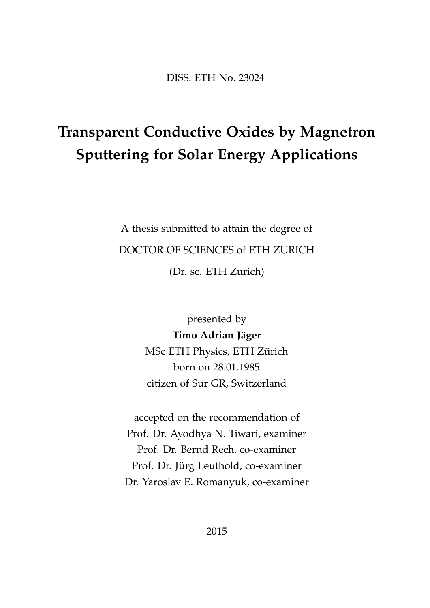DISS. ETH No. 23024

## **Transparent Conductive Oxides by Magnetron Sputtering for Solar Energy Applications**

A thesis submitted to attain the degree of DOCTOR OF SCIENCES of ETH ZURICH (Dr. sc. ETH Zurich)

> presented by **Timo Adrian Jäger** MSc ETH Physics, ETH Zürich born on 28.01.1985 citizen of Sur GR, Switzerland

accepted on the recommendation of Prof. Dr. Ayodhya N. Tiwari, examiner Prof. Dr. Bernd Rech, co-examiner Prof. Dr. Jürg Leuthold, co-examiner Dr. Yaroslav E. Romanyuk, co-examiner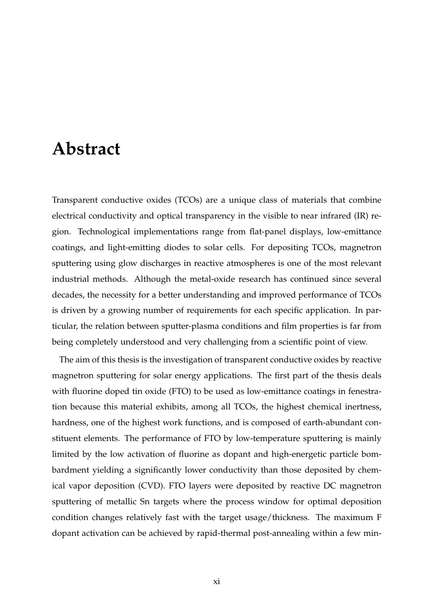## **Abstract**

Transparent conductive oxides (TCOs) are a unique class of materials that combine electrical conductivity and optical transparency in the visible to near infrared (IR) region. Technological implementations range from flat-panel displays, low-emittance coatings, and light-emitting diodes to solar cells. For depositing TCOs, magnetron sputtering using glow discharges in reactive atmospheres is one of the most relevant industrial methods. Although the metal-oxide research has continued since several decades, the necessity for a better understanding and improved performance of TCOs is driven by a growing number of requirements for each specific application. In particular, the relation between sputter-plasma conditions and film properties is far from being completely understood and very challenging from a scientific point of view.

The aim of this thesis is the investigation of transparent conductive oxides by reactive magnetron sputtering for solar energy applications. The first part of the thesis deals with fluorine doped tin oxide (FTO) to be used as low-emittance coatings in fenestration because this material exhibits, among all TCOs, the highest chemical inertness, hardness, one of the highest work functions, and is composed of earth-abundant constituent elements. The performance of FTO by low-temperature sputtering is mainly limited by the low activation of fluorine as dopant and high-energetic particle bombardment yielding a significantly lower conductivity than those deposited by chemical vapor deposition (CVD). FTO layers were deposited by reactive DC magnetron sputtering of metallic Sn targets where the process window for optimal deposition condition changes relatively fast with the target usage/thickness. The maximum F dopant activation can be achieved by rapid-thermal post-annealing within a few min-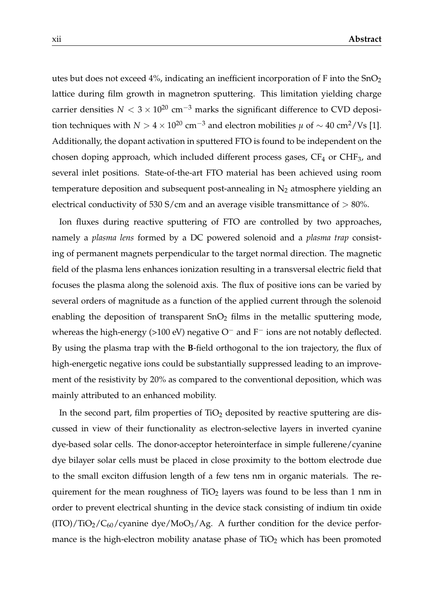utes but does not exceed 4%, indicating an inefficient incorporation of F into the  $SnO<sub>2</sub>$ lattice during film growth in magnetron sputtering. This limitation yielding charge carrier densities  $N < 3 \times 10^{20}$  cm<sup>-3</sup> marks the significant difference to CVD deposition techniques with *N* > 4 × 10<sup>20</sup> cm<sup>-3</sup> and electron mobilities  $\mu$  of ~ 40 cm<sup>2</sup>/Vs [\[1\]](#page--1-0). Additionally, the dopant activation in sputtered FTO is found to be independent on the chosen doping approach, which included different process gases,  $CF_4$  or  $CHF_3$ , and several inlet positions. State-of-the-art FTO material has been achieved using room temperature deposition and subsequent post-annealing in  $N_2$  atmosphere yielding an electrical conductivity of 530 S/cm and an average visible transmittance of  $> 80\%$ .

Ion fluxes during reactive sputtering of FTO are controlled by two approaches, namely a *plasma lens* formed by a DC powered solenoid and a *plasma trap* consisting of permanent magnets perpendicular to the target normal direction. The magnetic field of the plasma lens enhances ionization resulting in a transversal electric field that focuses the plasma along the solenoid axis. The flux of positive ions can be varied by several orders of magnitude as a function of the applied current through the solenoid enabling the deposition of transparent  $SnO<sub>2</sub>$  films in the metallic sputtering mode, whereas the high-energy (>100 eV) negative O<sup>−</sup> and F<sup>−</sup> ions are not notably deflected. By using the plasma trap with the **B**-field orthogonal to the ion trajectory, the flux of high-energetic negative ions could be substantially suppressed leading to an improvement of the resistivity by 20% as compared to the conventional deposition, which was mainly attributed to an enhanced mobility.

In the second part, film properties of  $TiO<sub>2</sub>$  deposited by reactive sputtering are discussed in view of their functionality as electron-selective layers in inverted cyanine dye-based solar cells. The donor-acceptor heterointerface in simple fullerene/cyanine dye bilayer solar cells must be placed in close proximity to the bottom electrode due to the small exciton diffusion length of a few tens nm in organic materials. The requirement for the mean roughness of  $TiO<sub>2</sub>$  layers was found to be less than 1 nm in order to prevent electrical shunting in the device stack consisting of indium tin oxide  $(TTO)/TiO<sub>2</sub>/C<sub>60</sub>/cyanine dye/MoO<sub>3</sub>/Ag.$  A further condition for the device performance is the high-electron mobility anatase phase of  $TiO<sub>2</sub>$  which has been promoted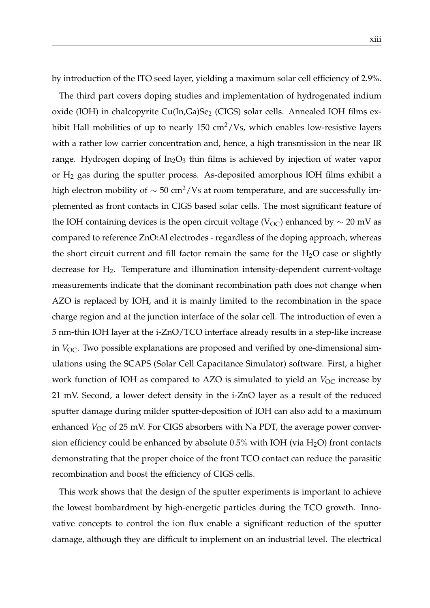by introduction of the ITO seed layer, yielding a maximum solar cell efficiency of 2.9%.

The third part covers doping studies and implementation of hydrogenated indium oxide (IOH) in chalcopyrite Cu(In,Ga)Se<sub>2</sub> (CIGS) solar cells. Annealed IOH films exhibit Hall mobilities of up to nearly  $150 \text{ cm}^2/\text{Vs}$ , which enables low-resistive layers with a rather low carrier concentration and, hence, a high transmission in the near IR range. Hydrogen doping of  $In_2O_3$  thin films is achieved by injection of water vapor or  $H_2$  gas during the sputter process. As-deposited amorphous IOH films exhibit a high electron mobility of  $\sim$  50 cm<sup>2</sup>/Vs at room temperature, and are successfully implemented as front contacts in CIGS based solar cells. The most significant feature of the IOH containing devices is the open circuit voltage (V<sub>OC</sub>) enhanced by  $\sim$  20 mV as compared to reference ZnO:Al electrodes - regardless of the doping approach, whereas the short circuit current and fill factor remain the same for the  $H_2O$  case or slightly decrease for  $H_2$ . Temperature and illumination intensity-dependent current-voltage measurements indicate that the dominant recombination path does not change when AZO is replaced by IOH, and it is mainly limited to the recombination in the space charge region and at the junction interface of the solar cell. The introduction of even a 5 nm-thin IOH layer at the i-ZnO/TCO interface already results in a step-like increase in *V*<sub>OC</sub>. Two possible explanations are proposed and verified by one-dimensional simulations using the SCAPS (Solar Cell Capacitance Simulator) software. First, a higher work function of IOH as compared to AZO is simulated to yield an  $V_{OC}$  increase by 21 mV. Second, a lower defect density in the i-ZnO layer as a result of the reduced sputter damage during milder sputter-deposition of IOH can also add to a maximum enhanced *V*<sub>OC</sub> of 25 mV. For CIGS absorbers with Na PDT, the average power conversion efficiency could be enhanced by absolute  $0.5\%$  with IOH (via H<sub>2</sub>O) front contacts demonstrating that the proper choice of the front TCO contact can reduce the parasitic recombination and boost the efficiency of CIGS cells.

This work shows that the design of the sputter experiments is important to achieve the lowest bombardment by high-energetic particles during the TCO growth. Innovative concepts to control the ion flux enable a significant reduction of the sputter damage, although they are difficult to implement on an industrial level. The electrical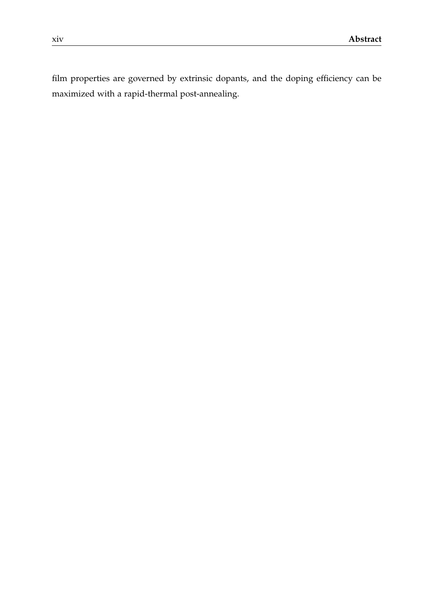film properties are governed by extrinsic dopants, and the doping efficiency can be maximized with a rapid-thermal post-annealing.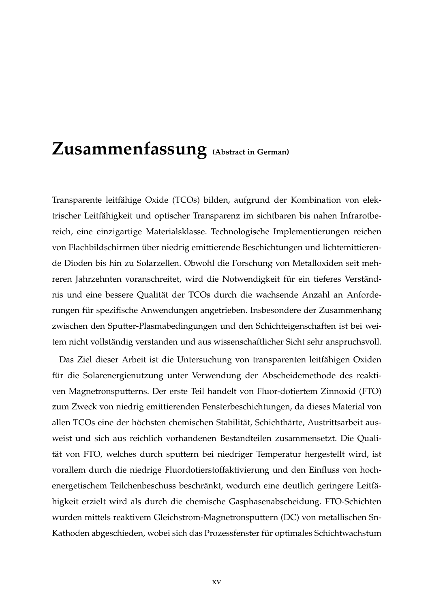## **Zusammenfassung (Abstract in German)**

Transparente leitfähige Oxide (TCOs) bilden, aufgrund der Kombination von elektrischer Leitfähigkeit und optischer Transparenz im sichtbaren bis nahen Infrarotbereich, eine einzigartige Materialsklasse. Technologische Implementierungen reichen von Flachbildschirmen über niedrig emittierende Beschichtungen und lichtemittierende Dioden bis hin zu Solarzellen. Obwohl die Forschung von Metalloxiden seit mehreren Jahrzehnten voranschreitet, wird die Notwendigkeit für ein tieferes Verständnis und eine bessere Qualität der TCOs durch die wachsende Anzahl an Anforderungen für spezifische Anwendungen angetrieben. Insbesondere der Zusammenhang zwischen den Sputter-Plasmabedingungen und den Schichteigenschaften ist bei weitem nicht vollständig verstanden und aus wissenschaftlicher Sicht sehr anspruchsvoll.

Das Ziel dieser Arbeit ist die Untersuchung von transparenten leitfähigen Oxiden für die Solarenergienutzung unter Verwendung der Abscheidemethode des reaktiven Magnetronsputterns. Der erste Teil handelt von Fluor-dotiertem Zinnoxid (FTO) zum Zweck von niedrig emittierenden Fensterbeschichtungen, da dieses Material von allen TCOs eine der höchsten chemischen Stabilität, Schichthärte, Austrittsarbeit ausweist und sich aus reichlich vorhandenen Bestandteilen zusammensetzt. Die Qualität von FTO, welches durch sputtern bei niedriger Temperatur hergestellt wird, ist vorallem durch die niedrige Fluordotierstoffaktivierung und den Einfluss von hochenergetischem Teilchenbeschuss beschränkt, wodurch eine deutlich geringere Leitfähigkeit erzielt wird als durch die chemische Gasphasenabscheidung. FTO-Schichten wurden mittels reaktivem Gleichstrom-Magnetronsputtern (DC) von metallischen Sn-Kathoden abgeschieden, wobei sich das Prozessfenster für optimales Schichtwachstum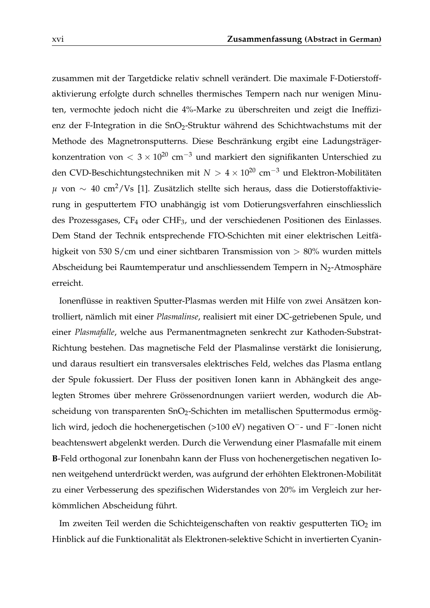zusammen mit der Targetdicke relativ schnell verändert. Die maximale F-Dotierstoffaktivierung erfolgte durch schnelles thermisches Tempern nach nur wenigen Minuten, vermochte jedoch nicht die 4%-Marke zu überschreiten und zeigt die Ineffizienz der F-Integration in die SnO<sub>2</sub>-Struktur während des Schichtwachstums mit der Methode des Magnetronsputterns. Diese Beschränkung ergibt eine Ladungsträgerkonzentration von <  $3 \times 10^{20}$  cm<sup>-3</sup> und markiert den signifikanten Unterschied zu den CVD-Beschichtungstechniken mit *N* > 4 × 10<sup>20</sup> cm−<sup>3</sup> und Elektron-Mobilitäten *µ* von ∼ 40 cm2/Vs [\[1\]](#page--1-0). Zusätzlich stellte sich heraus, dass die Dotierstoffaktivierung in gesputtertem FTO unabhängig ist vom Dotierungsverfahren einschliesslich des Prozessgases, CF<sup>4</sup> oder CHF3, und der verschiedenen Positionen des Einlasses. Dem Stand der Technik entsprechende FTO-Schichten mit einer elektrischen Leitfähigkeit von 530 S/cm und einer sichtbaren Transmission von > 80% wurden mittels Abscheidung bei Raumtemperatur und anschliessendem Tempern in  $N_2$ -Atmosphäre erreicht.

Ionenflüsse in reaktiven Sputter-Plasmas werden mit Hilfe von zwei Ansätzen kontrolliert, nämlich mit einer *Plasmalinse*, realisiert mit einer DC-getriebenen Spule, und einer *Plasmafalle*, welche aus Permanentmagneten senkrecht zur Kathoden-Substrat-Richtung bestehen. Das magnetische Feld der Plasmalinse verstärkt die Ionisierung, und daraus resultiert ein transversales elektrisches Feld, welches das Plasma entlang der Spule fokussiert. Der Fluss der positiven Ionen kann in Abhängkeit des angelegten Stromes über mehrere Grössenordnungen variiert werden, wodurch die Abscheidung von transparenten SnO<sub>2</sub>-Schichten im metallischen Sputtermodus ermöglich wird, jedoch die hochenergetischen (>100 eV) negativen O−- und F−-Ionen nicht beachtenswert abgelenkt werden. Durch die Verwendung einer Plasmafalle mit einem **B**-Feld orthogonal zur Ionenbahn kann der Fluss von hochenergetischen negativen Ionen weitgehend unterdrückt werden, was aufgrund der erhöhten Elektronen-Mobilität zu einer Verbesserung des spezifischen Widerstandes von 20% im Vergleich zur herkömmlichen Abscheidung führt.

Im zweiten Teil werden die Schichteigenschaften von reaktiv gesputterten TiO<sub>2</sub> im Hinblick auf die Funktionalität als Elektronen-selektive Schicht in invertierten Cyanin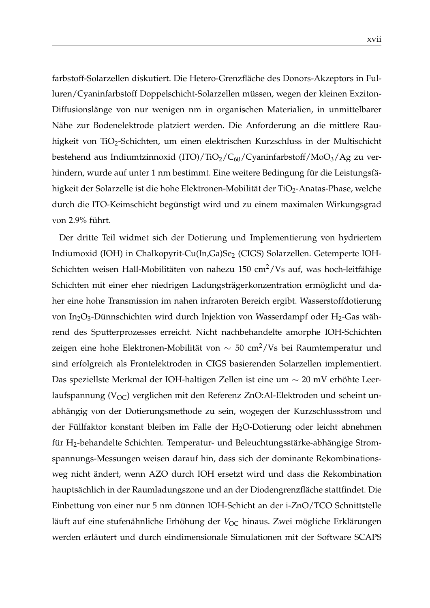farbstoff-Solarzellen diskutiert. Die Hetero-Grenzfläche des Donors-Akzeptors in Fulluren/Cyaninfarbstoff Doppelschicht-Solarzellen müssen, wegen der kleinen Exziton-Diffusionslänge von nur wenigen nm in organischen Materialien, in unmittelbarer Nähe zur Bodenelektrode platziert werden. Die Anforderung an die mittlere Rauhigkeit von TiO<sub>2</sub>-Schichten, um einen elektrischen Kurzschluss in der Multischicht bestehend aus Indiumtzinnoxid (ITO)/TiO<sub>2</sub>/C<sub>60</sub>/Cyaninfarbstoff/MoO<sub>3</sub>/Ag zu verhindern, wurde auf unter 1 nm bestimmt. Eine weitere Bedingung für die Leistungsfähigkeit der Solarzelle ist die hohe Elektronen-Mobilität der TiO<sub>2</sub>-Anatas-Phase, welche durch die ITO-Keimschicht begünstigt wird und zu einem maximalen Wirkungsgrad von 2.9% führt.

Der dritte Teil widmet sich der Dotierung und Implementierung von hydriertem Indiumoxid (IOH) in Chalkopyrit-Cu(In,Ga)Se<sub>2</sub> (CIGS) Solarzellen. Getemperte IOH-Schichten weisen Hall-Mobilitäten von nahezu 150 cm<sup>2</sup>/Vs auf, was hoch-leitfähige Schichten mit einer eher niedrigen Ladungsträgerkonzentration ermöglicht und daher eine hohe Transmission im nahen infraroten Bereich ergibt. Wasserstoffdotierung von In<sub>2</sub>O<sub>3</sub>-Dünnschichten wird durch Injektion von Wasserdampf oder H<sub>2</sub>-Gas während des Sputterprozesses erreicht. Nicht nachbehandelte amorphe IOH-Schichten zeigen eine hohe Elektronen-Mobilität von  $\sim 50$  cm<sup>2</sup>/Vs bei Raumtemperatur und sind erfolgreich als Frontelektroden in CIGS basierenden Solarzellen implementiert. Das speziellste Merkmal der IOH-haltigen Zellen ist eine um ∼ 20 mV erhöhte Leerlaufspannung ( $V_{OC}$ ) verglichen mit den Referenz ZnO:Al-Elektroden und scheint unabhängig von der Dotierungsmethode zu sein, wogegen der Kurzschlussstrom und der Füllfaktor konstant bleiben im Falle der H<sub>2</sub>O-Dotierung oder leicht abnehmen für H2-behandelte Schichten. Temperatur- und Beleuchtungsstärke-abhängige Stromspannungs-Messungen weisen darauf hin, dass sich der dominante Rekombinationsweg nicht ändert, wenn AZO durch IOH ersetzt wird und dass die Rekombination hauptsächlich in der Raumladungszone und an der Diodengrenzfläche stattfindet. Die Einbettung von einer nur 5 nm dünnen IOH-Schicht an der i-ZnO/TCO Schnittstelle läuft auf eine stufenähnliche Erhöhung der V<sub>OC</sub> hinaus. Zwei mögliche Erklärungen werden erläutert und durch eindimensionale Simulationen mit der Software SCAPS